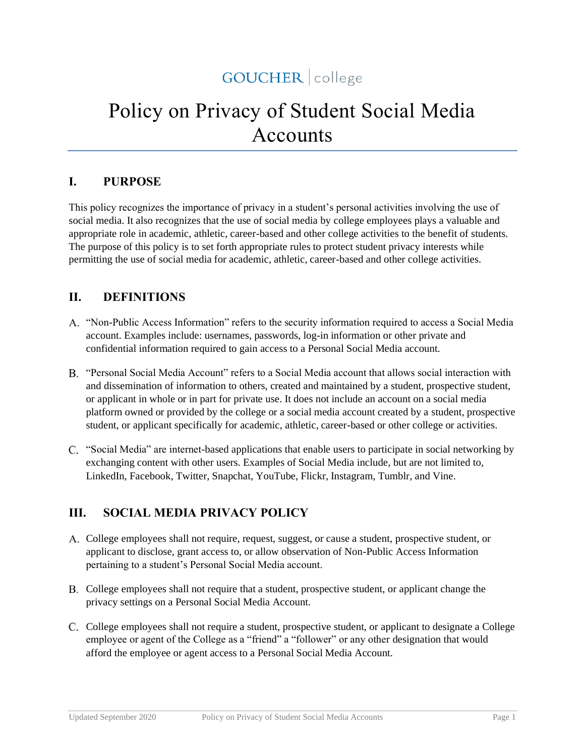# GOUCHER | college

# Policy on Privacy of Student Social Media Accounts

#### **I. PURPOSE**

This policy recognizes the importance of privacy in a student's personal activities involving the use of social media. It also recognizes that the use of social media by college employees plays a valuable and appropriate role in academic, athletic, career-based and other college activities to the benefit of students. The purpose of this policy is to set forth appropriate rules to protect student privacy interests while permitting the use of social media for academic, athletic, career-based and other college activities.

#### **II. DEFINITIONS**

- "Non-Public Access Information" refers to the security information required to access a Social Media account. Examples include: usernames, passwords, log-in information or other private and confidential information required to gain access to a Personal Social Media account.
- "Personal Social Media Account" refers to a Social Media account that allows social interaction with and dissemination of information to others, created and maintained by a student, prospective student, or applicant in whole or in part for private use. It does not include an account on a social media platform owned or provided by the college or a social media account created by a student, prospective student, or applicant specifically for academic, athletic, career-based or other college or activities.
- "Social Media" are internet-based applications that enable users to participate in social networking by exchanging content with other users. Examples of Social Media include, but are not limited to, LinkedIn, Facebook, Twitter, Snapchat, YouTube, Flickr, Instagram, Tumblr, and Vine.

# **III. SOCIAL MEDIA PRIVACY POLICY**

- College employees shall not require, request, suggest, or cause a student, prospective student, or applicant to disclose, grant access to, or allow observation of Non-Public Access Information pertaining to a student's Personal Social Media account.
- College employees shall not require that a student, prospective student, or applicant change the privacy settings on a Personal Social Media Account.
- C. College employees shall not require a student, prospective student, or applicant to designate a College employee or agent of the College as a "friend" a "follower" or any other designation that would afford the employee or agent access to a Personal Social Media Account.